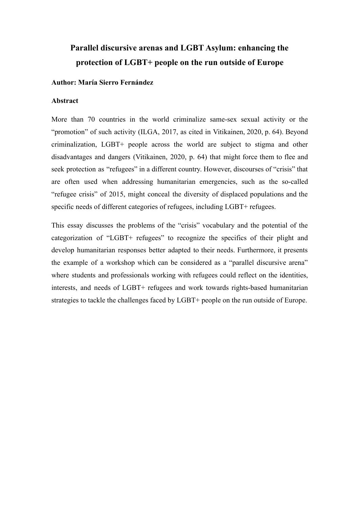# **Parallel discursive arenas and LGBT Asylum: enhancing the protection of LGBT+ people on the run outside of Europe**

### **Author: María Sierro Fernández**

### **Abstract**

More than 70 countries in the world criminalize same-sex sexual activity or the "promotion" of such activity (ILGA, 2017, as cited in Vitikainen, 2020, p. 64). Beyond criminalization, LGBT+ people across the world are subject to stigma and other disadvantages and dangers (Vitikainen, 2020, p. 64) that might force them to flee and seek protection as "refugees" in a different country. However, discourses of "crisis" that are often used when addressing humanitarian emergencies, such as the so-called "refugee crisis" of 2015, might conceal the diversity of displaced populations and the specific needs of different categories of refugees, including LGBT+ refugees.

This essay discusses the problems of the "crisis" vocabulary and the potential of the categorization of "LGBT+ refugees" to recognize the specifics of their plight and develop humanitarian responses better adapted to their needs. Furthermore, it presents the example of a workshop which can be considered as a "parallel discursive arena" where students and professionals working with refugees could reflect on the identities, interests, and needs of LGBT+ refugees and work towards rights-based humanitarian strategies to tackle the challenges faced by LGBT+ people on the run outside of Europe.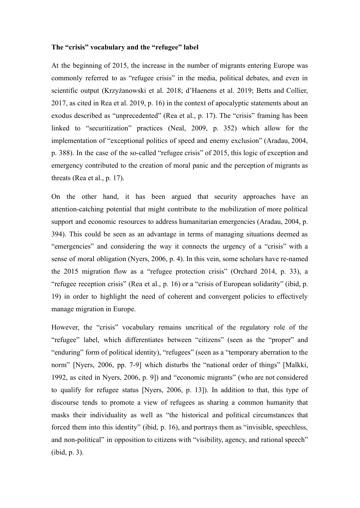### **The "crisis" vocabulary and the "refugee" label**

At the beginning of 2015, the increase in the number of migrants entering Europe was commonly referred to as "refugee crisis" in the media, political debates, and even in scientific output (Krzyżanowski et al. 2018; d'Haenens et al. 2019; Betts and Collier, 2017, as cited in Rea et al. 2019, p. 16) in the context of apocalyptic statements about an exodus described as "unprecedented" (Rea et al., p. 17). The "crisis" framing has been linked to "securitization" practices (Neal, 2009, p. 352) which allow for the implementation of "exceptional politics of speed and enemy exclusion" (Aradau, 2004, p. 388). In the case of the so-called "refugee crisis" of 2015, this logic of exception and emergency contributed to the creation of moral panic and the perception of migrants as threats (Rea et al., p. 17).

On the other hand, it has been argued that security approaches have an attention-catching potential that might contribute to the mobilization of more political support and economic resources to address humanitarian emergencies (Aradau, 2004, p. 394). This could be seen as an advantage in terms of managing situations deemed as "emergencies" and considering the way it connects the urgency of a "crisis" with a sense of moral obligation (Nyers, 2006, p. 4). In this vein, some scholars have re-named the 2015 migration flow as a "refugee protection crisis" (Orchard 2014, p. 33), a "refugee reception crisis" (Rea et al., p. 16) or a "crisis of European solidarity" (ibid, p. 19) in order to highlight the need of coherent and convergent policies to effectively manage migration in Europe.

However, the "crisis" vocabulary remains uncritical of the regulatory role of the "refugee" label, which differentiates between "citizens" (seen as the "proper" and "enduring" form of political identity), "refugees" (seen as a "temporary aberration to the norm" [Nyers, 2006, pp. 7-9] which disturbs the "national order of things" [Malkki, 1992, as cited in Nyers, 2006, p. 9]) and "economic migrants" (who are not considered to qualify for refugee status [Nyers, 2006, p. 13]). In addition to that, this type of discourse tends to promote a view of refugees as sharing a common humanity that masks their individuality as well as "the historical and political circumstances that forced them into this identity" (ibid, p. 16), and portrays them as "invisible, speechless, and non-political" in opposition to citizens with "visibility, agency, and rational speech" (ibid, p. 3).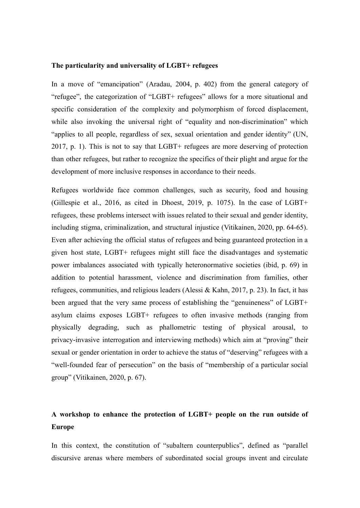#### **The particularity and universality of LGBT+ refugees**

In a move of "emancipation" (Aradau, 2004, p. 402) from the general category of "refugee", the categorization of "LGBT+ refugees" allows for a more situational and specific consideration of the complexity and polymorphism of forced displacement, while also invoking the universal right of "equality and non-discrimination" which "applies to all people, regardless of sex, sexual orientation and gender identity" (UN, 2017, p. 1). This is not to say that LGBT+ refugees are more deserving of protection than other refugees, but rather to recognize the specifics of their plight and argue for the development of more inclusive responses in accordance to their needs.

Refugees worldwide face common challenges, such as security, food and housing (Gillespie et al., 2016, as cited in Dhoest, 2019, p. 1075). In the case of LGBT+ refugees, these problems intersect with issues related to their sexual and gender identity, including stigma, criminalization, and structural injustice (Vitikainen, 2020, pp. 64-65). Even after achieving the official status of refugees and being guaranteed protection in a given host state, LGBT+ refugees might still face the disadvantages and systematic power imbalances associated with typically heteronormative societies (ibid, p. 69) in addition to potential harassment, violence and discrimination from families, other refugees, communities, and religious leaders (Alessi & Kahn, 2017, p. 23). In fact, it has been argued that the very same process of establishing the "genuineness" of LGBT+ asylum claims exposes LGBT+ refugees to often invasive methods (ranging from physically degrading, such as phallometric testing of physical arousal, to privacy-invasive interrogation and interviewing methods) which aim at "proving" their sexual or gender orientation in order to achieve the status of "deserving" refugees with a "well-founded fear of persecution" on the basis of "membership of a particular social group" (Vitikainen, 2020, p. 67).

# **A workshop to enhance the protection of LGBT+ people on the run outside of Europe**

In this context, the constitution of "subaltern counterpublics", defined as "parallel discursive arenas where members of subordinated social groups invent and circulate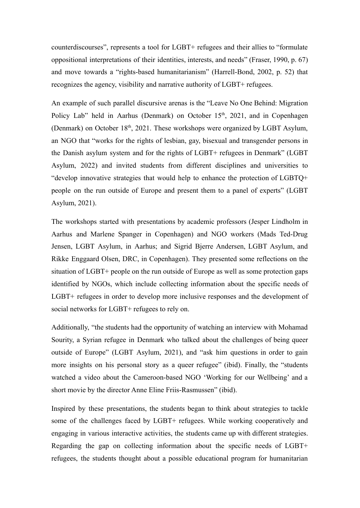counterdiscourses", represents a tool for LGBT+ refugees and their allies to "formulate oppositional interpretations of their identities, interests, and needs" (Fraser, 1990, p. 67) and move towards a "rights-based humanitarianism" (Harrell-Bond, 2002, p. 52) that recognizes the agency, visibility and narrative authority of LGBT+ refugees.

An example of such parallel discursive arenas is the "Leave No One Behind: Migration Policy Lab" held in Aarhus (Denmark) on October  $15<sup>th</sup>$ , 2021, and in Copenhagen (Denmark) on October 18<sup>th</sup>, 2021. These workshops were organized by LGBT Asylum, an NGO that "works for the rights of lesbian, gay, bisexual and transgender persons in the Danish asylum system and for the rights of LGBT+ refugees in Denmark" (LGBT Asylum, 2022) and invited students from different disciplines and universities to "develop innovative strategies that would help to enhance the protection of LGBTQ+ people on the run outside of Europe and present them to a panel of experts" (LGBT Asylum, 2021).

The workshops started with presentations by academic professors (Jesper Lindholm in Aarhus and Marlene Spanger in Copenhagen) and NGO workers (Mads Ted-Drug Jensen, LGBT Asylum, in Aarhus; and Sigrid Bjerre Andersen, LGBT Asylum, and Rikke Enggaard Olsen, DRC, in Copenhagen). They presented some reflections on the situation of LGBT+ people on the run outside of Europe as well as some protection gaps identified by NGOs, which include collecting information about the specific needs of LGBT+ refugees in order to develop more inclusive responses and the development of social networks for LGBT+ refugees to rely on.

Additionally, "the students had the opportunity of watching an interview with Mohamad Sourity, a Syrian refugee in Denmark who talked about the challenges of being queer outside of Europe" (LGBT Asylum, 2021), and "ask him questions in order to gain more insights on his personal story as a queer refugee" (ibid). Finally, the "students watched a video about the Cameroon-based NGO 'Working for our Wellbeing' and a short movie by the director Anne Eline Friis-Rasmussen" (ibid).

Inspired by these presentations, the students began to think about strategies to tackle some of the challenges faced by LGBT+ refugees. While working cooperatively and engaging in various interactive activities, the students came up with different strategies. Regarding the gap on collecting information about the specific needs of LGBT+ refugees, the students thought about a possible educational program for humanitarian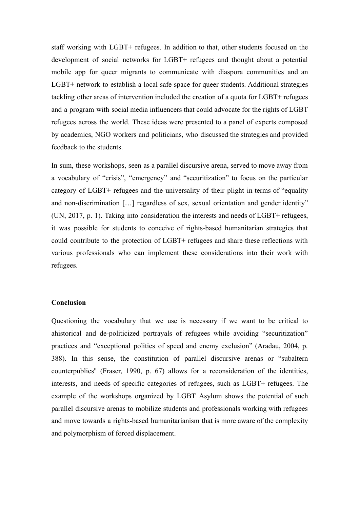staff working with LGBT+ refugees. In addition to that, other students focused on the development of social networks for LGBT+ refugees and thought about a potential mobile app for queer migrants to communicate with diaspora communities and an LGBT+ network to establish a local safe space for queer students. Additional strategies tackling other areas of intervention included the creation of a quota for LGBT+ refugees and a program with social media influencers that could advocate for the rights of LGBT refugees across the world. These ideas were presented to a panel of experts composed by academics, NGO workers and politicians, who discussed the strategies and provided feedback to the students.

In sum, these workshops, seen as a parallel discursive arena, served to move away from a vocabulary of "crisis", "emergency" and "securitization" to focus on the particular category of LGBT+ refugees and the universality of their plight in terms of "equality and non-discrimination […] regardless of sex, sexual orientation and gender identity" (UN, 2017, p. 1). Taking into consideration the interests and needs of LGBT+ refugees, it was possible for students to conceive of rights-based humanitarian strategies that could contribute to the protection of LGBT+ refugees and share these reflections with various professionals who can implement these considerations into their work with refugees.

## **Conclusion**

Questioning the vocabulary that we use is necessary if we want to be critical to ahistorical and de-politicized portrayals of refugees while avoiding "securitization" practices and "exceptional politics of speed and enemy exclusion" (Aradau, 2004, p. 388). In this sense, the constitution of parallel discursive arenas or "subaltern counterpublics'' (Fraser, 1990, p. 67) allows for a reconsideration of the identities, interests, and needs of specific categories of refugees, such as LGBT+ refugees. The example of the workshops organized by LGBT Asylum shows the potential of such parallel discursive arenas to mobilize students and professionals working with refugees and move towards a rights-based humanitarianism that is more aware of the complexity and polymorphism of forced displacement.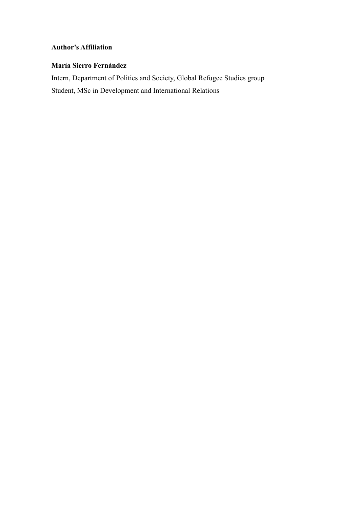# **Author's Affiliation**

# **María Sierro Fernández**

Intern, Department of Politics and Society, Global Refugee Studies group Student, MSc in Development and International Relations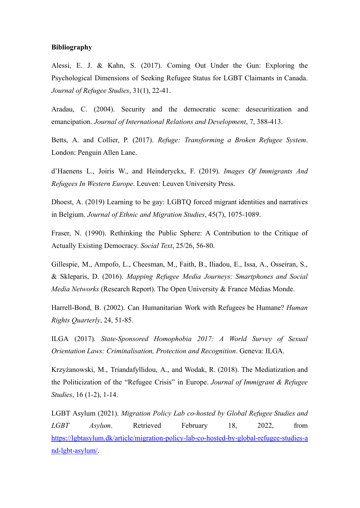### **Bibliography**

Alessi, E. J. & Kahn, S. (2017). Coming Out Under the Gun: Exploring the Psychological Dimensions of Seeking Refugee Status for LGBT Claimants in Canada. *Journal of Refugee Studies*, 31(1), 22-41.

Aradau, C. (2004). Security and the democratic scene: desecuritization and emancipation. *Journal of International Relations and Development*, 7, 388-413.

Betts, A. and Collier, P. (2017). *Refuge: Transforming a Broken Refugee System*. London: Penguin Allen Lane.

d'Haenens L., Joiris W., and Heinderyckx, F. (2019). *Images Of Immigrants And Refugees In Western Europe*. Leuven: Leuven University Press.

Dhoest, A. (2019) Learning to be gay: LGBTQ forced migrant identities and narratives in Belgium. *Journal of Ethnic and Migration Studies*, 45(7), 1075-1089.

Fraser, N. (1990). Rethinking the Public Sphere: A Contribution to the Critique of Actually Existing Democracy. *Social Text*, 25/26, 56-80.

Gillespie, M., Ampofo, L., Cheesman, M., Faith, B., Iliadou, E., Issa, A., Osseiran, S., & Skleparis, D. (2016). *Mapping Refugee Media Journeys: Smartphones and Social Media Networks* (Research Report). The Open University & France Médias Monde.

Harrell-Bond, B. (2002). Can Humanitarian Work with Refugees be Humane? *Human Rights Quarterly*, 24, 51-85.

ILGA (2017). *State-Sponsored Homophobia 2017: A World Survey of Sexual Orientation Laws: Criminalisation, Protection and Recognition*. Geneva: ILGA.

Krzyżanowski, M., Triandafyllidou, A., and Wodak, R. (2018). The Mediatization and the Politicization of the "Refugee Crisis" in Europe. *Journal of Immigrant & Refugee Studies*, 16 (1-2), 1-14.

LGBT Asylum (2021). *Migration Policy Lab co-hosted by Global Refugee Studies and LGBT Asylum*. Retrieved February 18, 2022, from [https://lgbtasylum.dk/article/migration-policy-lab-co-hosted-by-global-refugee-studies-a](https://lgbtasylum.dk/article/migration-policy-lab-co-hosted-by-global-refugee-studies-and-lgbt-asylum/) [nd-lgbt-asylum/.](https://lgbtasylum.dk/article/migration-policy-lab-co-hosted-by-global-refugee-studies-and-lgbt-asylum/)